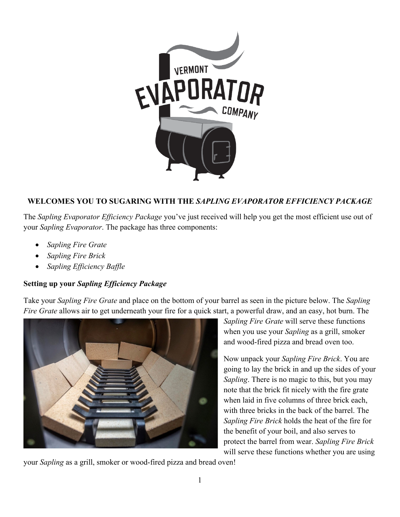

## **WELCOMES YOU TO SUGARING WITH THE** *SAPLING EVAPORATOR EFFICIENCY PACKAGE*

The *Sapling Evaporator Efficiency Package* you've just received will help you get the most efficient use out of your *Sapling Evaporator*. The package has three components:

- *Sapling Fire Grate*
- *Sapling Fire Brick*
- *Sapling Efficiency Baffle*

## **Setting up your** *Sapling Efficiency Package*

Take your *Sapling Fire Grate* and place on the bottom of your barrel as seen in the picture below. The *Sapling Fire Grate* allows air to get underneath your fire for a quick start, a powerful draw, and an easy, hot burn. The



*Sapling Fire Grate* will serve these functions when you use your *Sapling* as a grill, smoker and wood-fired pizza and bread oven too.

Now unpack your *Sapling Fire Brick*. You are going to lay the brick in and up the sides of your *Sapling*. There is no magic to this, but you may note that the brick fit nicely with the fire grate when laid in five columns of three brick each, with three bricks in the back of the barrel. The *Sapling Fire Brick* holds the heat of the fire for the benefit of your boil, and also serves to protect the barrel from wear. *Sapling Fire Brick* will serve these functions whether you are using

your *Sapling* as a grill, smoker or wood-fired pizza and bread oven!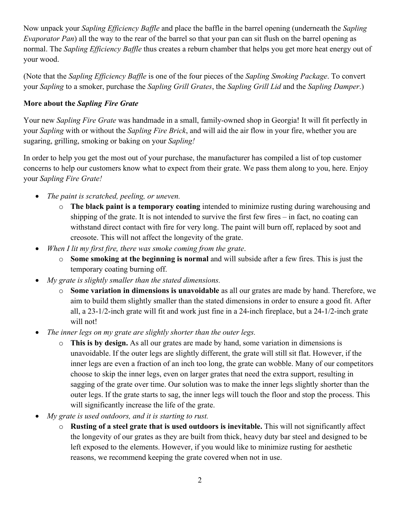Now unpack your *Sapling Efficiency Baffle* and place the baffle in the barrel opening (underneath the *Sapling Evaporator Pan*) all the way to the rear of the barrel so that your pan can sit flush on the barrel opening as normal. The *Sapling Efficiency Baffle* thus creates a reburn chamber that helps you get more heat energy out of your wood.

(Note that the *Sapling Efficiency Baffle* is one of the four pieces of the *Sapling Smoking Package*. To convert your *Sapling* to a smoker, purchase the *Sapling Grill Grates*, the *Sapling Grill Lid* and the *Sapling Damper*.)

## **More about the** *Sapling Fire Grate*

Your new *Sapling Fire Grate* was handmade in a small, family-owned shop in Georgia! It will fit perfectly in your *Sapling* with or without the *Sapling Fire Brick*, and will aid the air flow in your fire, whether you are sugaring, grilling, smoking or baking on your *Sapling!*

In order to help you get the most out of your purchase, the manufacturer has compiled a list of top customer concerns to help our customers know what to expect from their grate. We pass them along to you, here. Enjoy your *Sapling Fire Grate!*

- *The paint is scratched, peeling, or uneven.*
	- o **The black paint is a temporary coating** intended to minimize rusting during warehousing and shipping of the grate. It is not intended to survive the first few fires – in fact, no coating can withstand direct contact with fire for very long. The paint will burn off, replaced by soot and creosote. This will not affect the longevity of the grate.
- *When I lit my first fire, there was smoke coming from the grate*.
	- o **Some smoking at the beginning is normal** and will subside after a few fires. This is just the temporary coating burning off.
- *My grate is slightly smaller than the stated dimensions.*
	- o **Some variation in dimensions is unavoidable** as all our grates are made by hand. Therefore, we aim to build them slightly smaller than the stated dimensions in order to ensure a good fit. After all, a 23-1/2-inch grate will fit and work just fine in a 24-inch fireplace, but a 24-1/2-inch grate will not!
- *The inner legs on my grate are slightly shorter than the outer legs.*
	- o **This is by design.** As all our grates are made by hand, some variation in dimensions is unavoidable. If the outer legs are slightly different, the grate will still sit flat. However, if the inner legs are even a fraction of an inch too long, the grate can wobble. Many of our competitors choose to skip the inner legs, even on larger grates that need the extra support, resulting in sagging of the grate over time. Our solution was to make the inner legs slightly shorter than the outer legs. If the grate starts to sag, the inner legs will touch the floor and stop the process. This will significantly increase the life of the grate.
- *My grate is used outdoors, and it is starting to rust.*
	- o **Rusting of a steel grate that is used outdoors is inevitable.** This will not significantly affect the longevity of our grates as they are built from thick, heavy duty bar steel and designed to be left exposed to the elements. However, if you would like to minimize rusting for aesthetic reasons, we recommend keeping the grate covered when not in use.